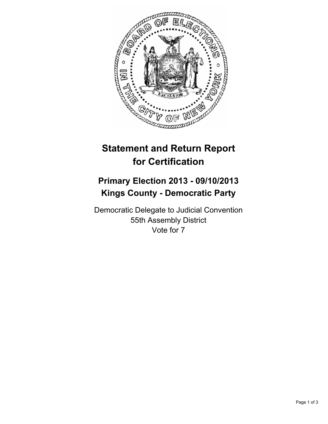

## **Statement and Return Report for Certification**

## **Primary Election 2013 - 09/10/2013 Kings County - Democratic Party**

Democratic Delegate to Judicial Convention 55th Assembly District Vote for 7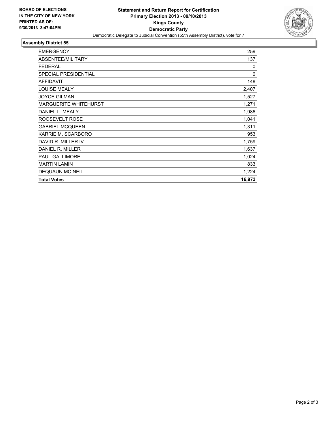

## **Assembly District 55**

| <b>EMERGENCY</b>             | 259         |
|------------------------------|-------------|
| ABSENTEE/MILITARY            | 137         |
| <b>FEDERAL</b>               | $\Omega$    |
| <b>SPECIAL PRESIDENTIAL</b>  | $\mathbf 0$ |
| <b>AFFIDAVIT</b>             | 148         |
| <b>LOUISE MEALY</b>          | 2,407       |
| <b>JOYCE GILMAN</b>          | 1,527       |
| <b>MARGUERITE WHITEHURST</b> | 1,271       |
| DANIEL L. MEALY              | 1,986       |
| ROOSEVELT ROSE               | 1,041       |
| <b>GABRIEL MCQUEEN</b>       | 1,311       |
| KARRIE M. SCARBORO           | 953         |
| DAVID R. MILLER IV           | 1,759       |
| DANIEL R. MILLER             | 1,637       |
| <b>PAUL GALLIMORE</b>        | 1,024       |
| <b>MARTIN LAMIN</b>          | 833         |
| <b>DEQUAUN MC NEIL</b>       | 1,224       |
| <b>Total Votes</b>           | 16,973      |